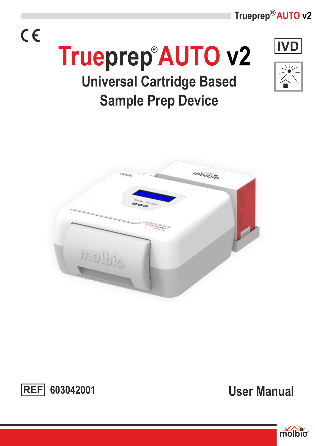Trueprep<sup>®</sup> AUTO v2

## $C \in$



# **Trueprep AUTO v2** ®

## **Universal Cartridge Based Sample Prep Device**





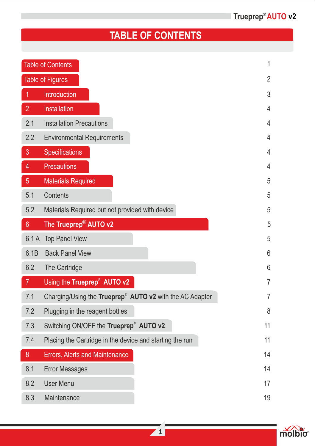### **TABLE OF CONTENTS**

|                | <b>Table of Contents</b>                                             | 1  |
|----------------|----------------------------------------------------------------------|----|
|                | <b>Table of Figures</b>                                              | 2  |
|                | <b>Introduction</b>                                                  | 3  |
| $\overline{2}$ | Installation                                                         | 4  |
| 2.1            | <b>Installation Precautions</b>                                      | 4  |
| 2.2            | <b>Environmental Requirements</b>                                    | 4  |
| 3              | Specifications                                                       | 4  |
| 4              | <b>Precautions</b>                                                   | 4  |
| 5              | <b>Materials Required</b>                                            | 5  |
| 5.1            | Contents                                                             | 5  |
| 5.2            | Materials Required but not provided with device                      | 5  |
| 6 <sup>°</sup> | The Trueprep <sup>®</sup> AUTO v2                                    | 5  |
| 6.1A           | <b>Top Panel View</b>                                                | 5  |
| 6.1B           | <b>Back Panel View</b>                                               | 6  |
| 6.2            | The Cartridge                                                        | 6  |
| $\overline{7}$ | Using the Trueprep® AUTO v2                                          | 7  |
| 7.1            | Charging/Using the Trueprep <sup>®</sup> AUTO v2 with the AC Adapter | 7  |
| 7.2            | Plugging in the reagent bottles                                      | 8  |
| 7.3            | Switching ON/OFF the Trueprep® AUTO v2                               | 11 |
| 7.4            | Placing the Cartridge in the device and starting the run             | 11 |
| 8              | Errors, Alerts and Maintenance                                       | 14 |
| 8.1            | <b>Error Messages</b>                                                | 14 |
| 8.2            | <b>User Menu</b>                                                     | 17 |
| 8.3            | Maintenance                                                          | 19 |

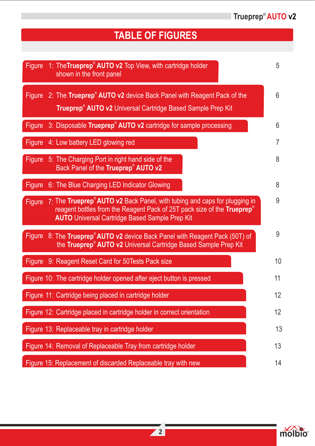### **TABLE OF FIGURES**

| 1: The Trueprep® AUTO v2 Top View, with cartridge holder<br><b>Figure</b><br>shown in the front panel                                                                                                                               | 5  |
|-------------------------------------------------------------------------------------------------------------------------------------------------------------------------------------------------------------------------------------|----|
| 2: The Trueprep® AUTO v2 device Back Panel with Reagent Pack of the<br><b>Figure</b><br>Trueprep <sup>®</sup> AUTO v2 Universal Cartridge Based Sample Prep Kit                                                                     | 6  |
| 3: Disposable Trueprep® AUTO v2 cartridge for sample processing<br>Figure                                                                                                                                                           | 6  |
| 4: Low battery LED glowing red<br>Figure                                                                                                                                                                                            | 7  |
| Figure<br>5: The Charging Port in right hand side of the<br>Back Panel of the Trueprep® AUTO v2                                                                                                                                     | 8  |
| Figure<br>6: The Blue Charging LED Indicator Glowing                                                                                                                                                                                | 8  |
| 7: The Trueprep® AUTO v2 Back Panel, with tubing and caps for plugging in<br>Figure<br>reagent bottles from the Reagent Pack of 25T pack size of the Trueprep <sup>®</sup><br><b>AUTO</b> Universal Cartridge Based Sample Prep Kit | 9  |
| Figure 8: The Trueprep <sup>®</sup> AUTO v2 device Back Panel with Reagent Pack (50T) of<br>the Trueprep® AUTO v2 Universal Cartridge Based Sample Prep Kit                                                                         | 9  |
| 9: Reagent Reset Card for 50 Tests Pack size<br>Figure                                                                                                                                                                              | 10 |
| Figure 10: The cartridge holder opened after eject button is pressed                                                                                                                                                                | 11 |
| Figure 11: Cartridge being placed in cartridge holder                                                                                                                                                                               | 12 |
| Figure 12: Cartridge placed in cartridge holder in correct orientation                                                                                                                                                              | 12 |
| Figure 13: Replaceable tray in cartridge holder                                                                                                                                                                                     | 13 |
| Figure 14: Removal of Replaceable Tray from cartridge holder                                                                                                                                                                        | 13 |
| Figure 15: Replacement of discarded Replaceable tray with new                                                                                                                                                                       | 14 |

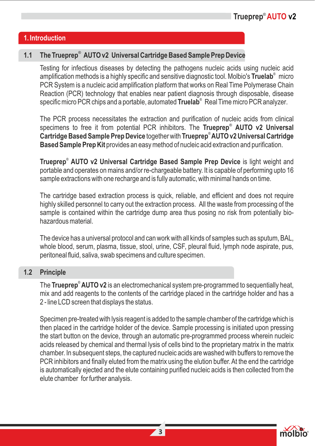#### **1. Introduction**

#### ® **1.1 The Trueprep AUTO v2 Universal Cartridge Based Sample Prep Device**

Testing for infectious diseases by detecting the pathogens nucleic acids using nucleic acid amplification methods is a highly specific and sensitive diagnostic tool. Molbio's Truelab<sup>®</sup> micro PCR System is a nucleic acid amplification platform that works on Real Time Polymerase Chain Reaction (PCR) technology that enables near patient diagnosis through disposable, disease specific micro PCR chips and a portable, automated **Truelab**® Real Time micro PCR analyzer.

The PCR process necessitates the extraction and purification of nucleic acids from clinical ® specimens to free it from potential PCR inhibitors. The **Trueprep AUTO v2 Universal**  ® **Cartridge Based Sample Prep Device** together with **Trueprep AUTO v2 Universal Cartridge Based Sample Prep Kit** provides an easy method of nucleic acid extraction and purification.

Trueprep<sup>®</sup> AUTO v2 Universal Cartridge Based Sample Prep Device is light weight and portable and operates on mains and/or re-chargeable battery. It is capable of performing upto 16 sample extractions with one recharge and is fully automatic, with minimal hands on time.

The cartridge based extraction process is quick, reliable, and efficient and does not require highly skilled personnel to carry out the extraction process. All the waste from processing of the sample is contained within the cartridge dump area thus posing no risk from potentially biohazardous material.

The device has a universal protocol and can work with all kinds of samples such as sputum, BAL, whole blood, serum, plasma, tissue, stool, urine, CSF, pleural fluid, lymph node aspirate, pus, peritoneal fluid, saliva, swab specimens and culture specimen.

#### **1.2 Principle**

The Trueprep<sup>®</sup> AUTO v2 is an electromechanical system pre-programmed to sequentially heat, mix and add reagents to the contents of the cartridge placed in the cartridge holder and has a 2 - line LCD screen that displays the status.

Specimen pre-treated with lysis reagent is added to the sample chamber of the cartridge which is then placed in the cartridge holder of the device. Sample processing is initiated upon pressing the start button on the device, through an automatic pre-programmed process wherein nucleic acids released by chemical and thermal lysis of cells bind to the proprietary matrix in the matrix chamber. In subsequent steps, the captured nucleic acids are washed with buffers to remove the PCR inhibitors and finally eluted from the matrix using the elution buffer. At the end the cartridge is automatically ejected and the elute containing purified nucleic acids is then collected from the elute chamber for further analysis.

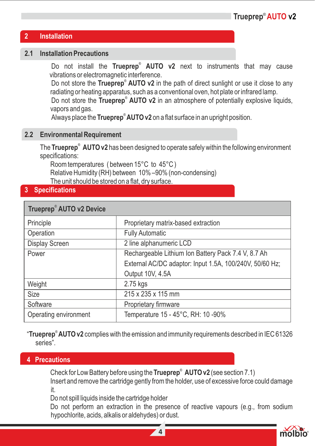#### **2 Installation**

#### **2.1 Installation Precautions**

Do not install the **Trueprep<sup>®</sup> AUTO v2** next to instruments that may cause vibrations or electromagnetic interference.

Do not store the Trueprep<sup>®</sup> AUTO v2 in the path of direct sunlight or use it close to any radiating or heating apparatus, such as a conventional oven, hot plate or infrared lamp.

Do not store the Trueprep<sup>®</sup> AUTO v2 in an atmosphere of potentially explosive liquids, vapors and gas.

Always place the **Trueprep® AUTO v2** on a flat surface in an upright position.

#### **2.2 Environmental Requirement**

The **Trueprep** $^\circ$  **AUTO v2** has been designed to operate safely within the following environment specifications:

Room temperatures ( between 15°C to 45°C ) Relative Humidity (RH) between 10% –90% (non-condensing) The unit should be stored on a flat, dry surface.

#### **3 Specifications**

| Trueprep® AUTO v2 Device |                                                         |  |  |
|--------------------------|---------------------------------------------------------|--|--|
| Principle                | Proprietary matrix-based extraction                     |  |  |
| Operation                | <b>Fully Automatic</b>                                  |  |  |
| Display Screen           | 2 line alphanumeric LCD                                 |  |  |
| Power                    | Rechargeable Lithium Ion Battery Pack 7.4 V, 8.7 Ah     |  |  |
|                          | External AC/DC adaptor: Input 1.5A, 100/240V, 50/60 Hz; |  |  |
|                          | Output 10V, 4.5A                                        |  |  |
| Weight                   | 2.75 kgs                                                |  |  |
| <b>Size</b>              | 215 x 235 x 115 mm                                      |  |  |
| Software                 | Proprietary firmware                                    |  |  |
| Operating environment    | Temperature 15 - 45°C, RH: 10 -90%                      |  |  |

"Trueprep<sup>®</sup> AUTO v2 complies with the emission and immunity requirements described in IEC 61326 series".

#### **4 Precautions**

Check for Low Battery before using the Trueprep<sup>®</sup> AUTO v2 (see section 7.1)

Insert and remove the cartridge gently from the holder, use of excessive force could damage it.

Do not spill liquids inside the cartridge holder

Do not perform an extraction in the presence of reactive vapours (e.g., from sodium hypochlorite, acids, alkalis or aldehydes) or dust.

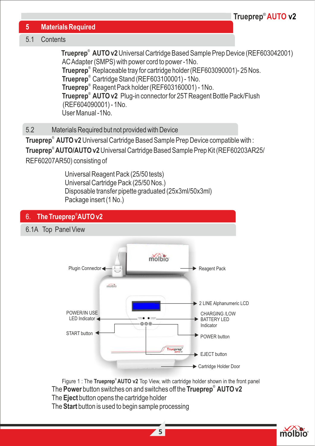#### **5 Materials Required**

#### 5.1 Contents

**Trueprep<sup>®</sup> AUTO v2** Universal Cartridge Based Sample Prep Device (REF603042001) AC Adapter (SMPS) with power cord to power -1No.

**Trueprep<sup>®</sup>** Replaceable tray for cartridge holder (REF603090001)- 25 Nos.

**Trueprep**<sup>®</sup> Cartridge Stand (REF603100001) - 1No.

**Trueprep**<sup>®</sup> Reagent Pack holder (REF603160001) - 1No.

® **Trueprep AUTO v2** Plug-in connector for 25TReagent Bottle Pack/Flush (REF604090001) - 1No.

User Manual -1No.

5.2 Materials Required but not provided with Device

**Trueprep<sup>®</sup> AUTO v2** Universal Cartridge Based Sample Prep Device compatible with :

® **Trueprep AUTO/AUTO v2** Universal Cartridge Based Sample Prep Kit (REF60203AR25/

REF60207AR50) consisting of

Universal Reagent Pack (25/50 tests) Universal Cartridge Pack (25/50 Nos.) Disposable transfer pipette graduated (25x3ml/50x3ml) Package insert (1 No.)



Figure 1 : The Trueprep<sup>®</sup> AUTO v2 Top View, with cartridge holder shown in the front panel ® The **Power** button switches on and switches off the **Trueprep AUTO v2** The **Eject** button opens the cartridge holder The **Start** button is used to begin sample processing

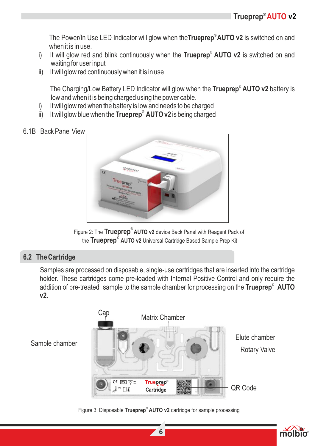® The Power/In Use LED Indicator will glow when the**Trueprep AUTO v2** is switched on and when it is in use.

- i) It will glow red and blink continuously when the Trueprep<sup>®</sup> AUTO v2 is switched on and waiting for user input
- ii) It will glow red continuously when it is in use

® The Charging/Low Battery LED Indicator will glow when the **Trueprep AUTO v2** battery is low and when it is being charged using the power cable.

- i) It will glow red when the battery is low and needs to be charged
- ii) It will glow blue when the **Trueprep<sup>®</sup> AUTO v2** is being charged

#### 6.1B Back Panel View



Figure 2: The **Trueprep<sup>®</sup> AUTO v2** device Back Panel with Reagent Pack of the Trueprep<sup>®</sup> AUTO v2 Universal Cartridge Based Sample Prep Kit

#### **6.2 The Cartridge**

Samples are processed on disposable, single-use cartridges that are inserted into the cartridge holder. These cartridges come pre-loaded with Internal Positive Control and only require the addition of pre-treated sample to the sample chamber for processing on the Trueprep<sup>®</sup> AUTO **v2**.



Figure 3: Disposable Trueprep<sup>®</sup> AUTO v2 cartridge for sample processing

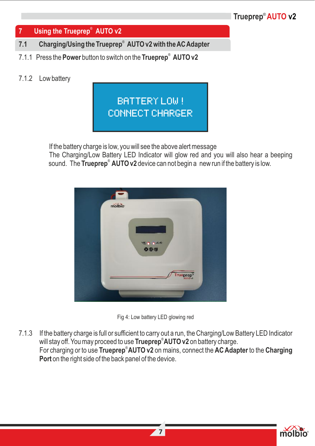#### ® **7 Using the Trueprep AUTO v2**

- ® **7.1 Charging/Using the Trueprep AUTO v2 with the AC Adapter**
- ® 7.1.1 Press the **Power** button to switch on the **Trueprep AUTO v2**

#### 7.1.2 Low battery



If the battery charge is low, you will see the above alert message

The Charging/Low Battery LED Indicator will glow red and you will also hear a beeping sound. The **Trueprep<sup>®</sup> AUTO v2** device can not begin a new run if the battery is low.





7.1.3 If the battery charge is full or sufficient to carry out a run, the Charging/Low Battery LED Indicator will stay off. You may proceed to use **Trueprep<sup>®</sup>AUTO v2** on battery charge. For charging or to use **Trueprep<sup>®</sup>AUTO v2** on mains, connect the **AC Adapter** to the **Charging Port** on the right side of the back panel of the device.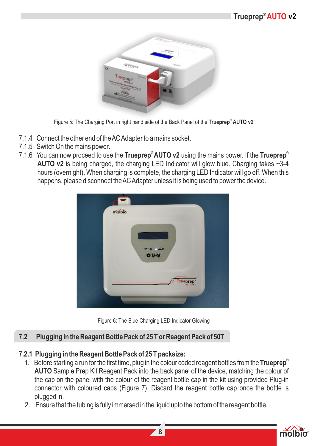

® Figure 5: The Charging Port in right hand side of the Back Panel of the **Trueprep AUTO v2**

- 7.1.4 Connect the other end of the AC Adapter to a mains socket.
- 7.1.5 Switch On the mains power.
- ® ® 7.1.6 You can now proceed to use the **Trueprep AUTO v2** using the mains power. If the **Trueprep AUTO v2** is being charged, the charging LED Indicator will glow blue. Charging takes ~3-4 hours (overnight). When charging is complete, the charging LED Indicator will go off. When this happens, please disconnect the AC Adapter unless it is being used to power the device.





#### **7.2 Plugging in the Reagent Bottle Pack of 25 T or Reagent Pack of 50T**

#### **7.2.1 Plugging in the Reagent Bottle Pack of 25 T packsize:**

- ® 1. Before starting a run for the first time, plug in the colour coded reagent bottles from the **Trueprep AUTO** Sample Prep Kit Reagent Pack into the back panel of the device, matching the colour of the cap on the panel with the colour of the reagent bottle cap in the kit using provided Plug-in connector with coloured caps (Figure 7). Discard the reagent bottle cap once the bottle is plugged in.
	- 2. Ensure that the tubing is fully immersed in the liquid upto the bottom of the reagent bottle.

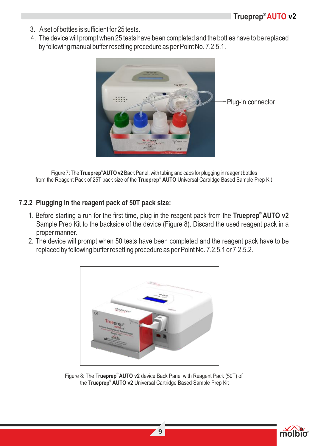- 3. Aset of bottles is sufficient for 25 tests.
- 4. The device will prompt when 25 tests have been completed and the bottles have to be replaced by following manual buffer resetting procedure as per Point No. 7.2.5.1.



® Figure 7: The **Trueprep AUTO v2** Back Panel, with tubing and caps for plugging in reagent bottles from the Reagent Pack of 25T pack size of the **Trueprep<sup>®</sup> AUTO** Universal Cartridge Based Sample Prep Kit

#### **7.2.2 Plugging in the reagent pack of 50T pack size:**

- ® 1. Before starting a run for the first time, plug in the reagent pack from the **Trueprep AUTO v2** Sample Prep Kit to the backside of the device (Figure 8). Discard the used reagent pack in a proper manner.
	- 2. The device will prompt when 50 tests have been completed and the reagent pack have to be replaced by following buffer resetting procedure as per Point No. 7.2.5.1 or 7.2.5.2.



Figure 8: The Trueprep<sup>®</sup> AUTO v2 device Back Panel with Reagent Pack (50T) of the Trueprep<sup>®</sup> AUTO v2 Universal Cartridge Based Sample Prep Kit

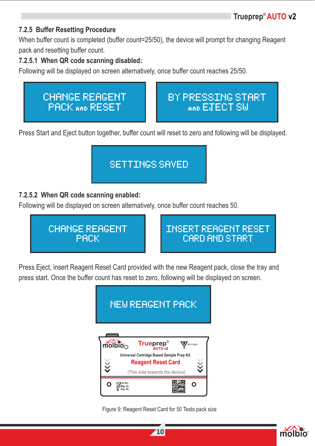#### **7.2.5 Buffer Resetting Procedure**

When buffer count is completed (buffer count=25/50), the device will prompt for changing Reagent pack and resetting buffer count.

#### **7.2.5.1 When QR code scanning disabled:**

Following will be displayed on screen alternatively, once buffer count reaches 25/50.



Press Start and Eject button together, buffer count will reset to zero and following will be displayed.



#### **7.2.5.2 When QR code scanning enabled:**

Following will be displayed on screen alternatively, once buffer count reaches 50.



Press Eject, insert Reagent Reset Card provided with the new Reagent pack, close the tray and press start. Once the buffer count has reset to zero, following will be displayed on screen.



Figure 9: Reagent Reset Card for 50 Tests pack size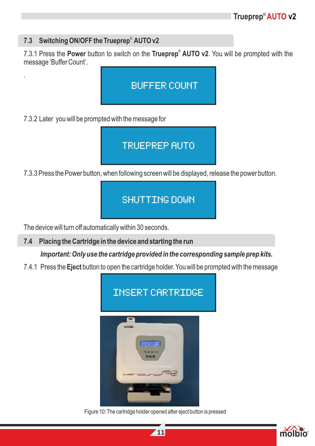#### 7.3 Switching ON/OFF the Trueprep<sup>®</sup> AUTO v2

.

7.3.1 Press the **Power** button to switch on the Trueprep<sup>®</sup> AUTO v2. You will be prompted with the message 'Buffer Count'.



7.3.2 Later you will be prompted with the message for

### TRUEPREP AUTO

7.3.3 Press the Power button, when following screen will be displayed, release the power button.

### SHUTTING DOWN

The device will turn off automatically within 30 seconds.

**7.4 Placing the Cartridge in the device and starting the run**

*Important: Only use the cartridge provided in the corresponding sample prep kits.* 

7.4.1 Press the **Eject** button to open the cartridge holder. You will be prompted with the message



Figure 10: The cartridge holder opened after eject button is pressed

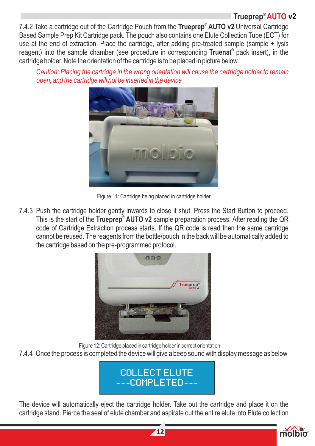® 7.4.2 Take a cartridge out of the Cartridge Pouch from the **Trueprep AUTO v2** Universal Cartridge Based Sample Prep Kit Cartridge pack. The pouch also contains one Elute Collection Tube (ECT) for use at the end of extraction. Place the cartridge, after adding pre-treated sample (sample + lysis reagent) into the sample chamber (see procedure in corresponding Truenat<sup>®</sup> pack insert), in the cartridge holder. Note the orientation of the cartridge is to be placed in picture below.

*Caution: Placing the cartridge in the wrong orientation will cause the cartridge holder to remain open, and the cartridge will not be inserted in the device* 



Figure 11: Cartridge being placed in cartridge holder

7.4.3 Push the cartridge holder gently inwards to close it shut. Press the Start Button to proceed. This is the start of the Trueprep® AUTO v2 sample preparation process. After reading the QR code of Cartridge Extraction process starts. If the QR code is read then the same cartridge cannot be reused. The reagents from the bottle/pouch in the back will be automatically added to the cartridge based on the pre-programmed protocol.



 Figure 12: Cartridge placed in cartridge holder in correct orientation 7.4.4 Once the process is completed the device will give a beep sound with display message as below



The device will automatically eject the cartridge holder. Take out the cartridge and place it on the cartridge stand. Pierce the seal of elute chamber and aspirate out the entire elute into Elute collection

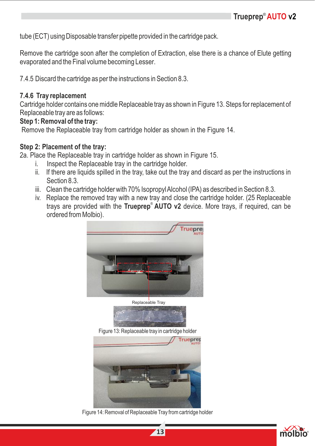tube (ECT) using Disposable transfer pipette provided in the cartridge pack.

Remove the cartridge soon after the completion of Extraction, else there is a chance of Elute getting evaporated and the Final volume becoming Lesser.

7.4.5 Discard the cartridge as per the instructions in Section 8.3.

#### **7.4.6 Tray replacement**

Cartridge holder contains one middle Replaceable tray as shown in Figure 13. Steps for replacement of Replaceable tray are as follows:

#### **Step 1: Removal of the tray:**

Remove the Replaceable tray from cartridge holder as shown in the Figure 14.

#### **Step 2: Placement of the tray:**

2a. Place the Replaceable tray in cartridge holder as shown in Figure 15.

- i. Inspect the Replaceable tray in the cartridge holder.
- ii. If there are liquids spilled in the tray, take out the tray and discard as per the instructions in Section 8.3.
- iii. Clean the cartridge holder with 70% Isopropyl Alcohol (IPA) as described in Section 8.3.
- iv. Replace the removed tray with a new tray and close the cartridge holder. (25 Replaceable trays are provided with the **Trueprep<sup>®</sup> AUTO v2** device. More trays, if required, can be ordered from Molbio).





Figure 13: Replaceable tray in cartridge holder



Figure 14: Removal of Replaceable Tray from cartridge holder

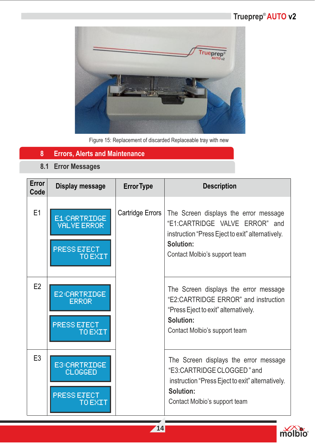

Figure 15: Replacement of discarded Replaceable tray with new

#### **8 Errors, Alerts and Maintenance**

**8.1 Error Messages**

| <b>Error</b><br>Code | Display message                                                      | <b>Error Type</b> | <b>Description</b>                                                                                                                                                        |
|----------------------|----------------------------------------------------------------------|-------------------|---------------------------------------------------------------------------------------------------------------------------------------------------------------------------|
| E1                   | E1:CARTRIDGE<br><b>VALVE ERROR</b><br><b>PRESS ETECT</b><br>TO EXIT  | Cartridge Errors  | The Screen displays the error message<br>"E1:CARTRIDGE VALVE ERROR" and<br>instruction "Press Eject to exit" alternatively.<br>Solution:<br>Contact Molbio's support team |
| E <sub>2</sub>       | E2:CARTRIDGE<br><b>ERROR</b><br><b>PRESS ETECT</b><br><b>TO EXIT</b> |                   | The Screen displays the error message<br>"E2:CARTRIDGE ERROR" and instruction<br>"Press Eject to exit" alternatively.<br>Solution:<br>Contact Molbio's support team       |
| E <sub>3</sub>       | E3:CARTRIDGE<br>CLOGGED<br><b>PRESS ETECT</b><br>TO EXTT             |                   | The Screen displays the error message<br>"E3:CARTRIDGE CLOGGED" and<br>instruction "Press Eject to exit" alternatively.<br>Solution:<br>Contact Molbio's support team     |

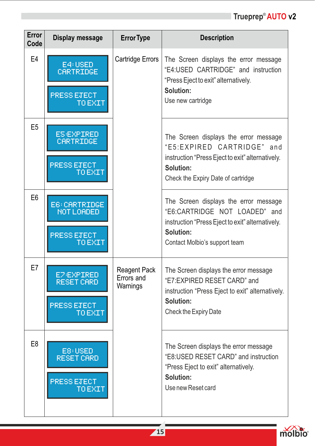| Error<br>Code  | Display message                                                 | <b>Error Type</b>                             | <b>Description</b>                                                                                                                                                            |
|----------------|-----------------------------------------------------------------|-----------------------------------------------|-------------------------------------------------------------------------------------------------------------------------------------------------------------------------------|
| E <sub>4</sub> | E4:USED<br>CARTRIDGE<br><b>PRESS ETECT</b><br><b>TO EXIT</b>    | Cartridge Errors                              | The Screen displays the error message<br>"E4:USED CARTRIDGE" and instruction<br>"Press Eject to exit" alternatively.<br>Solution:<br>Use new cartridge                        |
| E <sub>5</sub> | <b>ES:EXPIRED</b><br>CARTRIDGE<br>PRESS ETECT<br><b>TO EXIT</b> |                                               | The Screen displays the error message<br>"E5:EXPIRED CARTRIDGE"<br>and<br>instruction "Press Eject to exit" alternatively.<br>Solution:<br>Check the Expiry Date of cartridge |
| E <sub>6</sub> | E6: CARTRIDGE<br>NOT LOADED<br><b>PRESS ETECT</b><br>TO EXIT    |                                               | The Screen displays the error message<br>"E6:CARTRIDGE NOT LOADED" and<br>instruction "Press Eject to exit" alternatively.<br>Solution:<br>Contact Molbio's support team      |
| E7             | E7:EXPIRED<br>RESET CARD<br><b>PRESS ETECT</b><br>TO EXIT       | <b>Reagent Pack</b><br>Errors and<br>Warnings | The Screen displays the error message<br>"E7:EXPIRED RESET CARD" and<br>instruction "Press Eject to exit" alternatively.<br>Solution:<br>Check the Expiry Date                |
| E <sub>8</sub> | E8:USED<br>RESET CARD<br><b>PRESS ETECT</b><br>TO EXIT          |                                               | The Screen displays the error message<br>"E8:USED RESET CARD" and instruction<br>"Press Eject to exit" alternatively.<br>Solution:<br>Use new Reset card                      |

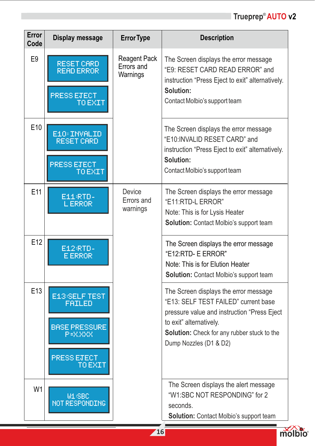| Error<br>Code   | <b>Display message</b>                                                                                   | <b>Error Type</b>                             | <b>Description</b>                                                                                                                                                                                                               |
|-----------------|----------------------------------------------------------------------------------------------------------|-----------------------------------------------|----------------------------------------------------------------------------------------------------------------------------------------------------------------------------------------------------------------------------------|
| E9              | RESET CARD<br>READ ERROR<br>PRESS ETECT<br><b>TO EXIT</b>                                                | <b>Reagent Pack</b><br>Errors and<br>Warnings | The Screen displays the error message<br>"E9: RESET CARD READ ERROR" and<br>instruction "Press Eject to exit" alternatively.<br>Solution:<br>Contact Molbio's support team                                                       |
| E <sub>10</sub> | E10: INVALID<br><b>RESET CARD</b><br><b>PRESS ETECT</b><br><b>TO EXIT</b>                                |                                               | The Screen displays the error message<br>"E10:INVALID RESET CARD" and<br>instruction "Press Eject to exit" alternatively.<br>Solution:<br>Contact Molbio's support team                                                          |
| E11             | E11/RTD-<br><b>LERROR</b>                                                                                | Device<br>Errors and<br>warnings              | The Screen displays the error message<br>"E11:RTD-L ERROR"<br>Note: This is for Lysis Heater<br>Solution: Contact Molbio's support team                                                                                          |
| E <sub>12</sub> | E12 RTD-<br><b>E ERROR</b>                                                                               |                                               | The Screen displays the error message<br>"E12:RTD- E ERROR"<br>Note: This is for Elution Heater<br>Solution: Contact Molbio's support team                                                                                       |
| E13             | E13/SELF TEST<br><b>FAILED</b><br><b>BASE PRESSURE</b><br>P=X.XXX<br><b>PRESS ETECT</b><br><u>U EAIT</u> |                                               | The Screen displays the error message<br>"E13: SELF TEST FAILED" current base<br>pressure value and instruction "Press Eject<br>to exit" alternatively.<br>Solution: Check for any rubber stuck to the<br>Dump Nozzles (D1 & D2) |
| W <sub>1</sub>  | <b>M1/SBC</b><br>NOT RESPONDING                                                                          |                                               | The Screen displays the alert message<br>"W1:SBC NOT RESPONDING" for 2<br>seconds.<br>Solution: Contact Molbio's support team                                                                                                    |

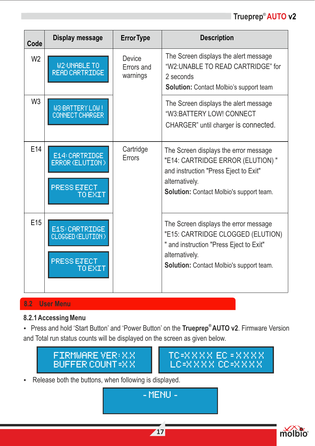| Code            | Display message                                                      | <b>Error Type</b>                | <b>Description</b>                                                                                                                                                                      |
|-----------------|----------------------------------------------------------------------|----------------------------------|-----------------------------------------------------------------------------------------------------------------------------------------------------------------------------------------|
| W <sub>2</sub>  | <b>M2RUNABLE TO</b><br>READ CARTRIDGE                                | Device<br>Errors and<br>warnings | The Screen displays the alert message<br>"W2:UNABLE TO READ CARTRIDGE" for<br>2 seconds<br>Solution: Contact Molbio's support team                                                      |
| W <sub>3</sub>  | M3:BATTERY LOW!<br><b>CONNECT CHARGER</b>                            |                                  | The Screen displays the alert message<br>"W3:BATTERY LOW! CONNECT<br>CHARGER" until charger is connected.                                                                               |
| E14             | E14: CARTRIDGE<br>ERROR (ELUTION)<br><b>PRESS ETECT</b><br>TO EXIT   | Cartridge<br>Errors              | The Screen displays the error message<br>"E14: CARTRIDGE ERROR (ELUTION)"<br>and instruction "Press Eject to Exit"<br>alternatively.<br><b>Solution:</b> Contact Molbio's support team. |
| E <sub>15</sub> | E15: CARTRIDGE<br>CLOGGED (ELUTION)<br><b>PRESS ETECT</b><br>TO EXIT |                                  | The Screen displays the error message<br>"E15: CARTRIDGE CLOGGED (ELUTION)<br>" and instruction "Press Eject to Exit"<br>alternatively.<br>Solution: Contact Molbio's support team.     |

#### **8.2 User Menu**

#### **8.2.1 Accessing Menu**

**®** Ÿ Press and hold 'Start Button' and 'Power Button' on the **Trueprep AUTO v2**. Firmware Version and Total run status counts will be displayed on the screen as given below.





• Release both the buttons, when following is displayed.

- MENU -

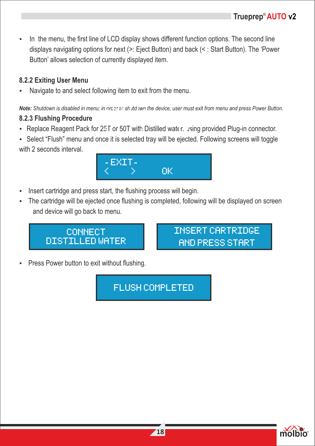In the menu, the first line of LCD display shows different function options. The second line displays navigating options for next (>: Eject Button) and back (< : Start Button). The 'Power Button' allows selection of currently displayed item.

#### **8.2.2 Exiting User Menu**

Navigate to and select following item to exit from the menu.

**Note:** Shutdown is disabled in menu; in order to shutdown the device, user must exit from menu and press Power Button.

#### **8.2.3 Flushing Procedure**

- . Replace Reagent Pack for 25 T or 50T with Distilled water, using provided Plug-in connector.
- Select "Flush" menu and once it is selected tray will be ejected. Following screens will toggle with 2 seconds interval.



- Insert cartridge and press start, the flushing process will begin.
- The cartridge will be ejected once flushing is completed, following will be displayed on screen and device will go back to menu.



INSERT CARTRIDGE AND PRESS START

Press Power button to exit without flushing.

FLUSH COMPLETED

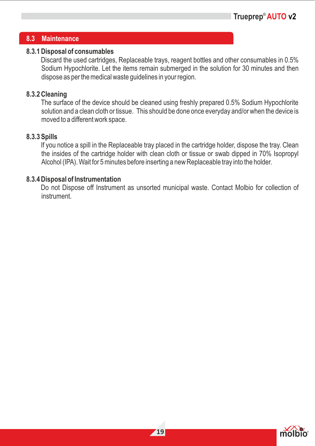#### **8.3 Maintenance**

#### **8.3.1 Disposal of consumables**

Discard the used cartridges, Replaceable trays, reagent bottles and other consumables in 0.5% Sodium Hypochlorite. Let the items remain submerged in the solution for 30 minutes and then dispose as per the medical waste guidelines in your region.

#### **8.3.2 Cleaning**

The surface of the device should be cleaned using freshly prepared 0.5% Sodium Hypochlorite solution and a clean cloth or tissue. This should be done once everyday and/or when the device is moved to a different work space.

#### **8.3.3 Spills**

If you notice a spill in the Replaceable tray placed in the cartridge holder, dispose the tray. Clean the insides of the cartridge holder with clean cloth or tissue or swab dipped in 70% Isopropyl Alcohol (IPA). Wait for 5 minutes before inserting a new Replaceable tray into the holder.

#### **8.3.4 Disposal of Instrumentation**

Do not Dispose off Instrument as unsorted municipal waste. Contact Molbio for collection of instrument.

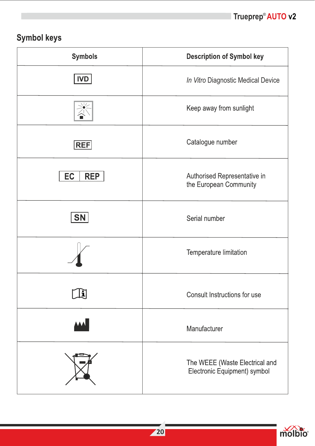### Symbol keys

| <b>Symbols</b>          | <b>Description of Symbol key</b>                               |
|-------------------------|----------------------------------------------------------------|
| <b>IVD</b>              | In Vitro Diagnostic Medical Device                             |
|                         | Keep away from sunlight                                        |
| REF                     | Catalogue number                                               |
| <b>EC</b><br><b>REP</b> | Authorised Representative in<br>the European Community         |
| SN                      | Serial number                                                  |
|                         | Temperature limitation                                         |
| H                       | Consult Instructions for use                                   |
|                         | Manufacturer                                                   |
|                         | The WEEE (Waste Electrical and<br>Electronic Equipment) symbol |

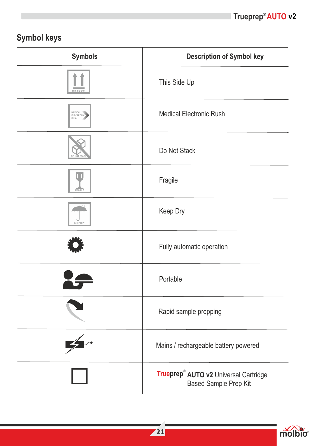### Symbol keys

| <b>Symbols</b>              | <b>Description of Symbol key</b>                               |
|-----------------------------|----------------------------------------------------------------|
|                             | This Side Up                                                   |
| MEDICAL<br>ELECTRON<br>RUSH | <b>Medical Electronic Rush</b>                                 |
|                             | Do Not Stack                                                   |
|                             | Fragile                                                        |
| <b>KFFP DR</b>              | Keep Dry                                                       |
|                             | Fully automatic operation                                      |
|                             | Portable                                                       |
|                             | Rapid sample prepping                                          |
|                             | Mains / rechargeable battery powered                           |
|                             | Trueprep® AUTO v2 Universal Cartridge<br>Based Sample Prep Kit |